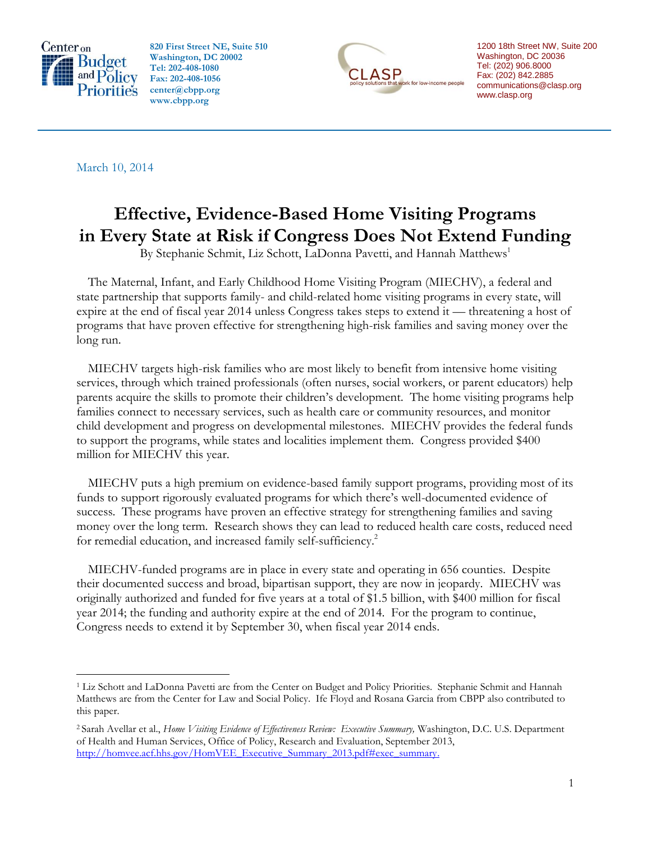

 $\overline{a}$ 

**820 First Street NE, Suite 510 Washington, DC 20002 Tel: 202-408-1080 Fax: 202-408-1056 center@cbpp.org www.cbpp.org**



1200 18th Street NW, Suite 200 Washington, DC 20036 Tel: (202) 906.8000 Fax: (202) 842.2885 communications@clasp.org www.clasp.org

March 10, 2014

# **Effective, Evidence-Based Home Visiting Programs in Every State at Risk if Congress Does Not Extend Funding**

By Stephanie Schmit, Liz Schott, LaDonna Pavetti, and Hannah Matthews<sup>1</sup>

The Maternal, Infant, and Early Childhood Home Visiting Program (MIECHV), a federal and state partnership that supports family- and child-related home visiting programs in every state, will expire at the end of fiscal year 2014 unless Congress takes steps to extend it — threatening a host of programs that have proven effective for strengthening high-risk families and saving money over the long run.

MIECHV targets high-risk families who are most likely to benefit from intensive home visiting services, through which trained professionals (often nurses, social workers, or parent educators) help parents acquire the skills to promote their children's development. The home visiting programs help families connect to necessary services, such as health care or community resources, and monitor child development and progress on developmental milestones. MIECHV provides the federal funds to support the programs, while states and localities implement them. Congress provided \$400 million for MIECHV this year.

MIECHV puts a high premium on evidence-based family support programs, providing most of its funds to support rigorously evaluated programs for which there's well-documented evidence of success. These programs have proven an effective strategy for strengthening families and saving money over the long term. Research shows they can lead to reduced health care costs, reduced need for remedial education, and increased family self-sufficiency.<sup>2</sup>

MIECHV-funded programs are in place in every state and operating in 656 counties. Despite their documented success and broad, bipartisan support, they are now in jeopardy. MIECHV was originally authorized and funded for five years at a total of \$1.5 billion, with \$400 million for fiscal year 2014; the funding and authority expire at the end of 2014. For the program to continue, Congress needs to extend it by September 30, when fiscal year 2014 ends.

<sup>1</sup> Liz Schott and LaDonna Pavetti are from the Center on Budget and Policy Priorities. Stephanie Schmit and Hannah Matthews are from the Center for Law and Social Policy. Ife Floyd and Rosana Garcia from CBPP also contributed to this paper.

<sup>2</sup> Sarah Avellar et al., *Home Visiting Evidence of Effectiveness Review: Executive Summary,* Washington, D.C. U.S. Department of Health and Human Services, Office of Policy, Research and Evaluation, September 2013, http://homvee.acf.hhs.gov/HomVEE\_Executive\_Summary\_2013.pdf#exec\_summary.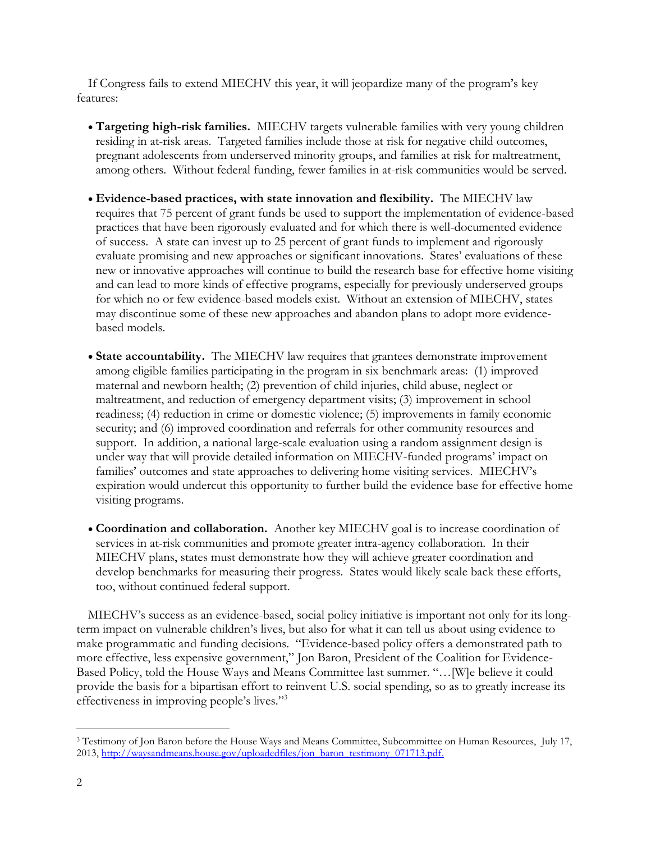If Congress fails to extend MIECHV this year, it will jeopardize many of the program's key features:

- **Targeting high-risk families.** MIECHV targets vulnerable families with very young children residing in at-risk areas. Targeted families include those at risk for negative child outcomes, pregnant adolescents from underserved minority groups, and families at risk for maltreatment, among others. Without federal funding, fewer families in at-risk communities would be served.
- **Evidence-based practices, with state innovation and flexibility.** The MIECHV law requires that 75 percent of grant funds be used to support the implementation of evidence-based practices that have been rigorously evaluated and for which there is well-documented evidence of success. A state can invest up to 25 percent of grant funds to implement and rigorously evaluate promising and new approaches or significant innovations. States' evaluations of these new or innovative approaches will continue to build the research base for effective home visiting and can lead to more kinds of effective programs, especially for previously underserved groups for which no or few evidence-based models exist. Without an extension of MIECHV, states may discontinue some of these new approaches and abandon plans to adopt more evidencebased models.
- **State accountability.** The MIECHV law requires that grantees demonstrate improvement among eligible families participating in the program in six benchmark areas: (1) improved maternal and newborn health; (2) prevention of child injuries, child abuse, neglect or maltreatment, and reduction of emergency department visits; (3) improvement in school readiness; (4) reduction in crime or domestic violence; (5) improvements in family economic security; and (6) improved coordination and referrals for other community resources and support. In addition, a national large-scale evaluation using a random assignment design is under way that will provide detailed information on MIECHV-funded programs' impact on families' outcomes and state approaches to delivering home visiting services. MIECHV's expiration would undercut this opportunity to further build the evidence base for effective home visiting programs.
- **Coordination and collaboration.** Another key MIECHV goal is to increase coordination of services in at-risk communities and promote greater intra-agency collaboration. In their MIECHV plans, states must demonstrate how they will achieve greater coordination and develop benchmarks for measuring their progress. States would likely scale back these efforts, too, without continued federal support.

MIECHV's success as an evidence-based, social policy initiative is important not only for its longterm impact on vulnerable children's lives, but also for what it can tell us about using evidence to make programmatic and funding decisions. "Evidence-based policy offers a demonstrated path to more effective, less expensive government," Jon Baron, President of the Coalition for Evidence-Based Policy, told the House Ways and Means Committee last summer. "…[W]e believe it could provide the basis for a bipartisan effort to reinvent U.S. social spending, so as to greatly increase its effectiveness in improving people's lives."<sup>3</sup>

<sup>&</sup>lt;sup>3</sup> Testimony of Jon Baron before the House Ways and Means Committee, Subcommittee on Human Resources, July 17, 2013, [http://waysandmeans.house.gov/uploadedfiles/jon\\_baron\\_testimony\\_071713.pdf.](http://waysandmeans.house.gov/uploadedfiles/jon_baron_testimony_071713.pdf)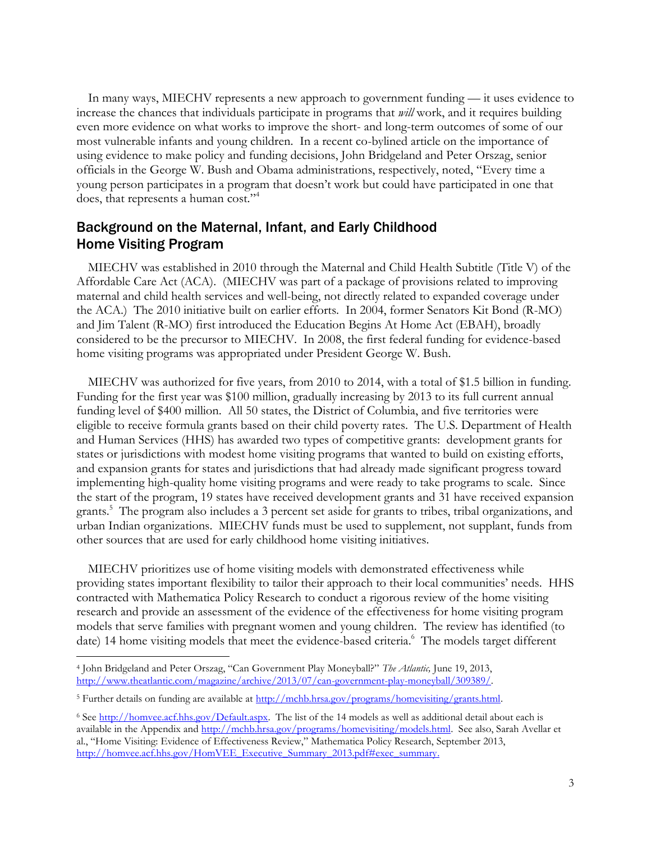In many ways, MIECHV represents a new approach to government funding — it uses evidence to increase the chances that individuals participate in programs that *will* work, and it requires building even more evidence on what works to improve the short- and long-term outcomes of some of our most vulnerable infants and young children. In a recent co-bylined article on the importance of using evidence to make policy and funding decisions, John Bridgeland and Peter Orszag, senior officials in the George W. Bush and Obama administrations, respectively, noted, "Every time a young person participates in a program that doesn't work but could have participated in one that does, that represents a human cost." 4

## Background on the Maternal, Infant, and Early Childhood Home Visiting Program

MIECHV was established in 2010 through the Maternal and Child Health Subtitle (Title V) of the Affordable Care Act (ACA). (MIECHV was part of a package of provisions related to improving maternal and child health services and well-being, not directly related to expanded coverage under the ACA.) The 2010 initiative built on earlier efforts. In 2004, former Senators Kit Bond (R-MO) and Jim Talent (R-MO) first introduced the Education Begins At Home Act (EBAH), broadly considered to be the precursor to MIECHV. In 2008, the first federal funding for evidence-based home visiting programs was appropriated under President George W. Bush.

MIECHV was authorized for five years, from 2010 to 2014, with a total of \$1.5 billion in funding. Funding for the first year was \$100 million, gradually increasing by 2013 to its full current annual funding level of \$400 million. All 50 states, the District of Columbia, and five territories were eligible to receive formula grants based on their child poverty rates. The U.S. Department of Health and Human Services (HHS) has awarded two types of competitive grants: development grants for states or jurisdictions with modest home visiting programs that wanted to build on existing efforts, and expansion grants for states and jurisdictions that had already made significant progress toward implementing high-quality home visiting programs and were ready to take programs to scale. Since the start of the program, 19 states have received development grants and 31 have received expansion grants. 5 The program also includes a 3 percent set aside for grants to tribes, tribal organizations, and urban Indian organizations. MIECHV funds must be used to supplement, not supplant, funds from other sources that are used for early childhood home visiting initiatives.

MIECHV prioritizes use of home visiting models with demonstrated effectiveness while providing states important flexibility to tailor their approach to their local communities' needs. HHS contracted with Mathematica Policy Research to conduct a rigorous review of the home visiting research and provide an assessment of the evidence of the effectiveness for home visiting program models that serve families with pregnant women and young children. The review has identified (to date) 14 home visiting models that meet the evidence-based criteria.<sup>6</sup> The models target different

<sup>4</sup> John Bridgeland and Peter Orszag, "Can Government Play Moneyball?" *The Atlantic,* June 19, 2013, [http://www.theatlantic.com/magazine/archive/2013/07/can-government-play-moneyball/309389/.](http://www.theatlantic.com/magazine/archive/2013/07/can-government-play-moneyball/309389/)

<sup>&</sup>lt;sup>5</sup> Further details on funding are available at [http://mchb.hrsa.gov/programs/homevisiting/grants.html.](http://mchb.hrsa.gov/programs/homevisiting/grants.html)

<sup>&</sup>lt;sup>6</sup> See [http://homvee.acf.hhs.gov/Default.aspx.](http://homvee.acf.hhs.gov/Default.aspx) The list of the 14 models as well as additional detail about each is available in the Appendix and [http://mchb.hrsa.gov/programs/homevisiting/models.html.](http://mchb.hrsa.gov/programs/homevisiting/models.html) See also, Sarah Avellar et al., "Home Visiting: Evidence of Effectiveness Review," Mathematica Policy Research, September 2013, [http://homvee.acf.hhs.gov/HomVEE\\_Executive\\_Summary\\_2013.pdf#exec\\_summary.](http://homvee.acf.hhs.gov/HomVEE_Executive_Summary_2013.pdf#exec_summary)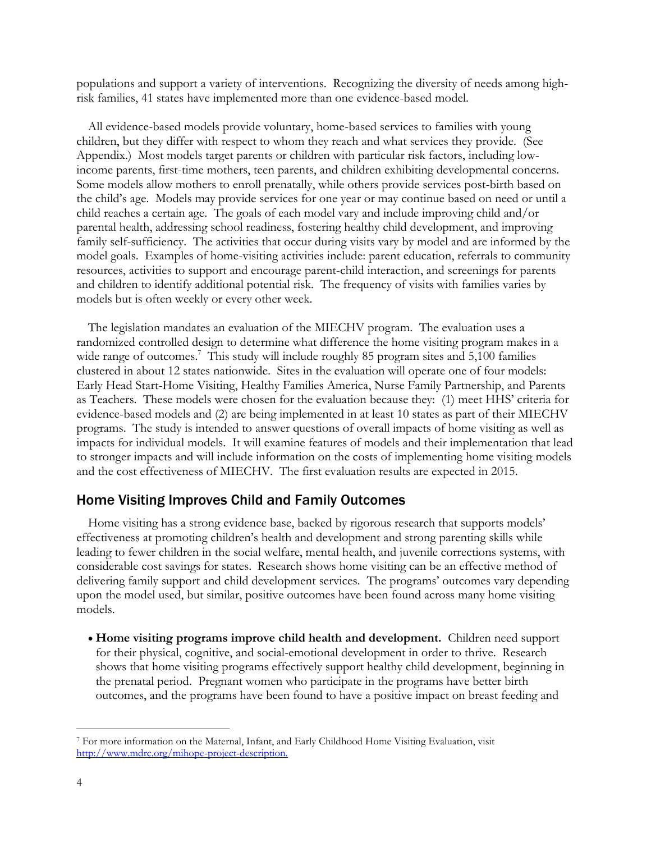populations and support a variety of interventions. Recognizing the diversity of needs among highrisk families, 41 states have implemented more than one evidence-based model.

All evidence-based models provide voluntary, home-based services to families with young children, but they differ with respect to whom they reach and what services they provide. (See Appendix.) Most models target parents or children with particular risk factors, including lowincome parents, first-time mothers, teen parents, and children exhibiting developmental concerns. Some models allow mothers to enroll prenatally, while others provide services post-birth based on the child's age. Models may provide services for one year or may continue based on need or until a child reaches a certain age. The goals of each model vary and include improving child and/or parental health, addressing school readiness, fostering healthy child development, and improving family self-sufficiency. The activities that occur during visits vary by model and are informed by the model goals. Examples of home-visiting activities include: parent education, referrals to community resources, activities to support and encourage parent-child interaction, and screenings for parents and children to identify additional potential risk. The frequency of visits with families varies by models but is often weekly or every other week.

The legislation mandates an evaluation of the MIECHV program. The evaluation uses a randomized controlled design to determine what difference the home visiting program makes in a wide range of outcomes.<sup>7</sup> This study will include roughly 85 program sites and 5,100 families clustered in about 12 states nationwide. Sites in the evaluation will operate one of four models: Early Head Start-Home Visiting, Healthy Families America, Nurse Family Partnership, and Parents as Teachers. These models were chosen for the evaluation because they: (1) meet HHS' criteria for evidence-based models and (2) are being implemented in at least 10 states as part of their MIECHV programs. The study is intended to answer questions of overall impacts of home visiting as well as impacts for individual models. It will examine features of models and their implementation that lead to stronger impacts and will include information on the costs of implementing home visiting models and the cost effectiveness of MIECHV. The first evaluation results are expected in 2015.

#### Home Visiting Improves Child and Family Outcomes

Home visiting has a strong evidence base, backed by rigorous research that supports models' effectiveness at promoting children's health and development and strong parenting skills while leading to fewer children in the social welfare, mental health, and juvenile corrections systems, with considerable cost savings for states. Research shows home visiting can be an effective method of delivering family support and child development services. The programs' outcomes vary depending upon the model used, but similar, positive outcomes have been found across many home visiting models.

 **Home visiting programs improve child health and development.** Children need support for their physical, cognitive, and social-emotional development in order to thrive. Research shows that home visiting programs effectively support healthy child development, beginning in the prenatal period. Pregnant women who participate in the programs have better birth outcomes, and the programs have been found to have a positive impact on breast feeding and

<sup>7</sup> For more information on the Maternal, Infant, and Early Childhood Home Visiting Evaluation, visit [http://www.mdrc.org/mihope-project-description.](http://www.mdrc.org/mihope-project-description)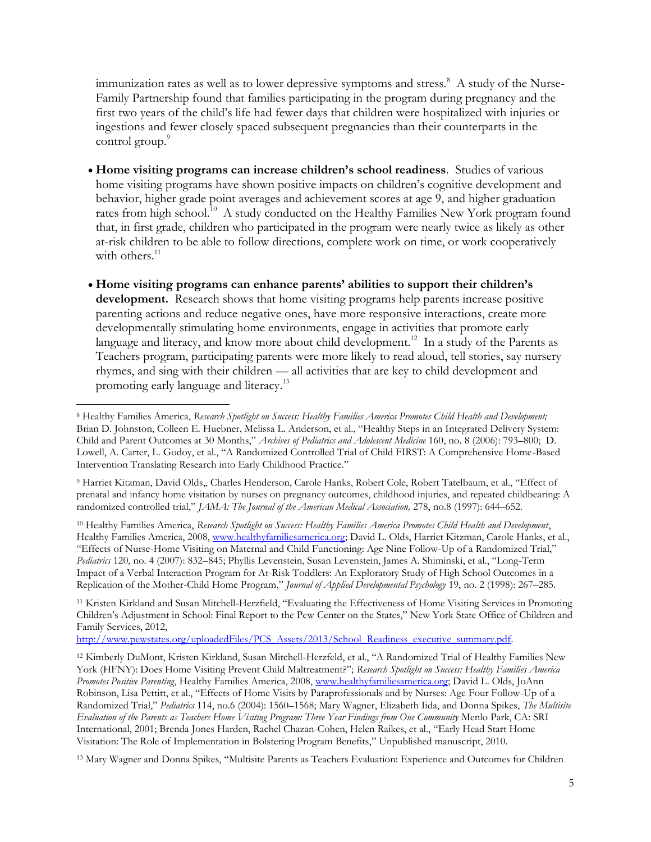immunization rates as well as to lower depressive symptoms and stress.<sup>8</sup> A study of the Nurse-Family Partnership found that families participating in the program during pregnancy and the first two years of the child's life had fewer days that children were hospitalized with injuries or ingestions and fewer closely spaced subsequent pregnancies than their counterparts in the control group.<sup>9</sup>

- **Home visiting programs can increase children's school readiness**. Studies of various home visiting programs have shown positive impacts on children's cognitive development and behavior, higher grade point averages and achievement scores at age 9, and higher graduation rates from high school.<sup>10</sup> A study conducted on the Healthy Families New York program found that, in first grade, children who participated in the program were nearly twice as likely as other at-risk children to be able to follow directions, complete work on time, or work cooperatively with others.<sup>11</sup>
- **Home visiting programs can enhance parents' abilities to support their children's development.** Research shows that home visiting programs help parents increase positive parenting actions and reduce negative ones, have more responsive interactions, create more developmentally stimulating home environments, engage in activities that promote early language and literacy, and know more about child development.<sup>12</sup> In a study of the Parents as Teachers program, participating parents were more likely to read aloud, tell stories, say nursery rhymes, and sing with their children — all activities that are key to child development and promoting early language and literacy.<sup>13</sup>

 $\overline{a}$ 

<sup>9</sup> Harriet Kitzman, David Olds,, Charles Henderson, Carole Hanks, Robert Cole, Robert Tatelbaum, et al., "Effect of prenatal and infancy home visitation by nurses on pregnancy outcomes, childhood injuries, and repeated childbearing: A randomized controlled trial," *JAMA: The Journal of the American Medical Association,* 278, no.8 (1997): 644–652.

<sup>10</sup> Healthy Families America, *Research Spotlight on Success: Healthy Families America Promotes Child Health and Development*, Healthy Families America, 2008, [www.healthyfamiliesamerica.org;](http://www.healthyfamiliesamerica.org/) David L. Olds, Harriet Kitzman, Carole Hanks, et al., "Effects of Nurse-Home Visiting on Maternal and Child Functioning: Age Nine Follow-Up of a Randomized Trial," *Pediatrics* 120, no. 4 (2007): 832–845; Phyllis Levenstein, Susan Levenstein, James A. Shiminski, et al., "Long-Term Impact of a Verbal Interaction Program for At-Risk Toddlers: An Exploratory Study of High School Outcomes in a Replication of the Mother-Child Home Program," *Journal of Applied Developmental Psychology* 19, no. 2 (1998): 267–285.

<sup>11</sup> Kristen Kirkland and Susan Mitchell-Herzfield, "Evaluating the Effectiveness of Home Visiting Services in Promoting Children's Adjustment in School: Final Report to the Pew Center on the States," New York State Office of Children and Family Services, 2012,

[http://www.pewstates.org/uploadedFiles/PCS\\_Assets/2013/School\\_Readiness\\_executive\\_summary.pdf.](http://www.pewstates.org/uploadedFiles/PCS_Assets/2013/School_Readiness_executive_summary.pdf)

<sup>12</sup> Kimberly DuMont, Kristen Kirkland, Susan Mitchell-Herzfeld, et al., "A Randomized Trial of Healthy Families New York (HFNY): Does Home Visiting Prevent Child Maltreatment?"; *Research Spotlight on Success: Healthy Families America Promotes Positive Parenting*, Healthy Families America, 2008, [www.healthyfamiliesamerica.org;](http://www.healthyfamiliesamerica.org/) David L. Olds, JoAnn Robinson, Lisa Pettitt, et al., "Effects of Home Visits by Paraprofessionals and by Nurses: Age Four Follow-Up of a Randomized Trial," *Pediatrics* 114, no.6 (2004): 1560–1568; Mary Wagner, Elizabeth Iida, and Donna Spikes, *The Multisite Evaluation of the Parents as Teachers Home Visiting Program: Three Year Findings from One Community* Menlo Park, CA: SRI International, 2001; Brenda Jones Harden, Rachel Chazan-Cohen, Helen Raikes, et al., "Early Head Start Home Visitation: The Role of Implementation in Bolstering Program Benefits," Unpublished manuscript, 2010.

<sup>13</sup> Mary Wagner and Donna Spikes, "Multisite Parents as Teachers Evaluation: Experience and Outcomes for Children

<sup>8</sup> Healthy Families America, *Research Spotlight on Success: Healthy Families America Promotes Child Health and Development;*  Brian D. Johnston, Colleen E. Huebner, Melissa L. Anderson, et al., "Healthy Steps in an Integrated Delivery System: Child and Parent Outcomes at 30 Months," *Archives of Pediatrics and Adolescent Medicine* 160, no. 8 (2006): 793–800; D. Lowell, A. Carter, L. Godoy, et al., "A Randomized Controlled Trial of Child FIRST: A Comprehensive Home-Based Intervention Translating Research into Early Childhood Practice."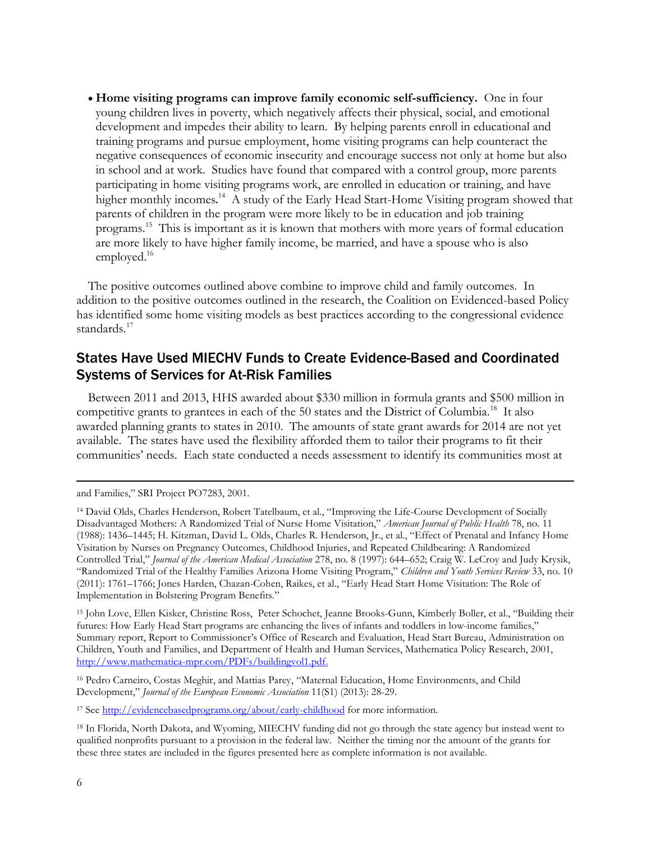**Home visiting programs can improve family economic self-sufficiency.** One in four young children lives in poverty, which negatively affects their physical, social, and emotional development and impedes their ability to learn. By helping parents enroll in educational and training programs and pursue employment, home visiting programs can help counteract the negative consequences of economic insecurity and encourage success not only at home but also in school and at work. Studies have found that compared with a control group, more parents participating in home visiting programs work, are enrolled in education or training, and have higher monthly incomes. <sup>14</sup> A study of the Early Head Start-Home Visiting program showed that parents of children in the program were more likely to be in education and job training programs.<sup>15</sup> This is important as it is known that mothers with more years of formal education are more likely to have higher family income, be married, and have a spouse who is also employed.<sup>16</sup>

The positive outcomes outlined above combine to improve child and family outcomes. In addition to the positive outcomes outlined in the research, the Coalition on Evidenced-based Policy has identified some home visiting models as best practices according to the congressional evidence standards.<sup>17</sup>

### States Have Used MIECHV Funds to Create Evidence-Based and Coordinated Systems of Services for At-Risk Families

Between 2011 and 2013, HHS awarded about \$330 million in formula grants and \$500 million in competitive grants to grantees in each of the 50 states and the District of Columbia.<sup>18</sup> It also awarded planning grants to states in 2010. The amounts of state grant awards for 2014 are not yet available. The states have used the flexibility afforded them to tailor their programs to fit their communities' needs. Each state conducted a needs assessment to identify its communities most at

and Families," SRI Project PO7283, 2001.

<sup>15</sup> John Love, Ellen Kisker, Christine Ross, Peter Schochet, Jeanne Brooks-Gunn, Kimberly Boller, et al., "Building their futures: How Early Head Start programs are enhancing the lives of infants and toddlers in low-income families," Summary report, Report to Commissioner's Office of Research and Evaluation, Head Start Bureau, Administration on Children, Youth and Families, and Department of Health and Human Services, Mathematica Policy Research, 2001, [http://www.mathematica-mpr.com/PDFs/buildingvol1.pdf.](http://www.mathematica-mpr.com/PDFs/buildingvol1.pdf)

<sup>16</sup> Pedro Carneiro, Costas Meghir, and Mattias Parey, "Maternal Education, Home Environments, and Child Development," *Journal of the European Economic Association* 11(S1) (2013): 28-29.

<sup>17</sup> See<http://evidencebasedprograms.org/about/early-childhood> for more information.

<sup>18</sup> In Florida, North Dakota, and Wyoming, MIECHV funding did not go through the state agency but instead went to qualified nonprofits pursuant to a provision in the federal law. Neither the timing nor the amount of the grants for these three states are included in the figures presented here as complete information is not available.

<sup>14</sup> David Olds, Charles Henderson, Robert Tatelbaum, et al., "Improving the Life-Course Development of Socially Disadvantaged Mothers: A Randomized Trial of Nurse Home Visitation," *American Journal of Public Health* 78, no. 11 (1988): 1436–1445; H. Kitzman, David L. Olds, Charles R. Henderson, Jr., et al., "Effect of Prenatal and Infancy Home Visitation by Nurses on Pregnancy Outcomes, Childhood Injuries, and Repeated Childbearing: A Randomized Controlled Trial," *Journal of the American Medical Association* 278, no. 8 (1997): 644–652; Craig W. LeCroy and Judy Krysik, "Randomized Trial of the Healthy Families Arizona Home Visiting Program," *Children and Youth Services Review* 33, no. 10 (2011): 1761–1766; Jones Harden, Chazan-Cohen, Raikes, et al., "Early Head Start Home Visitation: The Role of Implementation in Bolstering Program Benefits."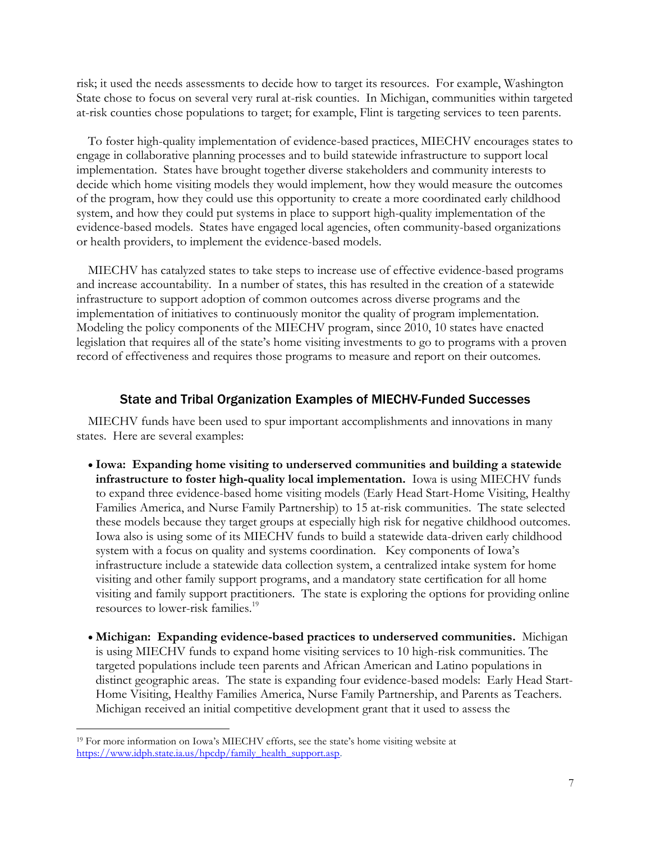risk; it used the needs assessments to decide how to target its resources. For example, Washington State chose to focus on several very rural at-risk counties. In Michigan, communities within targeted at-risk counties chose populations to target; for example, Flint is targeting services to teen parents.

To foster high-quality implementation of evidence-based practices, MIECHV encourages states to engage in collaborative planning processes and to build statewide infrastructure to support local implementation. States have brought together diverse stakeholders and community interests to decide which home visiting models they would implement, how they would measure the outcomes of the program, how they could use this opportunity to create a more coordinated early childhood system, and how they could put systems in place to support high-quality implementation of the evidence-based models. States have engaged local agencies, often community-based organizations or health providers, to implement the evidence-based models.

MIECHV has catalyzed states to take steps to increase use of effective evidence-based programs and increase accountability. In a number of states, this has resulted in the creation of a statewide infrastructure to support adoption of common outcomes across diverse programs and the implementation of initiatives to continuously monitor the quality of program implementation. Modeling the policy components of the MIECHV program, since 2010, 10 states have enacted legislation that requires all of the state's home visiting investments to go to programs with a proven record of effectiveness and requires those programs to measure and report on their outcomes.

#### State and Tribal Organization Examples of MIECHV-Funded Successes

MIECHV funds have been used to spur important accomplishments and innovations in many states. Here are several examples:

- **Iowa: Expanding home visiting to underserved communities and building a statewide infrastructure to foster high-quality local implementation.** Iowa is using MIECHV funds to expand three evidence-based home visiting models (Early Head Start-Home Visiting, Healthy Families America, and Nurse Family Partnership) to 15 at-risk communities. The state selected these models because they target groups at especially high risk for negative childhood outcomes. Iowa also is using some of its MIECHV funds to build a statewide data-driven early childhood system with a focus on quality and systems coordination. Key components of Iowa's infrastructure include a statewide data collection system, a centralized intake system for home visiting and other family support programs, and a mandatory state certification for all home visiting and family support practitioners. The state is exploring the options for providing online resources to lower-risk families.<sup>19</sup>
- **Michigan: Expanding evidence-based practices to underserved communities.** Michigan is using MIECHV funds to expand home visiting services to 10 high-risk communities. The targeted populations include teen parents and African American and Latino populations in distinct geographic areas. The state is expanding four evidence-based models: Early Head Start-Home Visiting, Healthy Families America, Nurse Family Partnership, and Parents as Teachers. Michigan received an initial competitive development grant that it used to assess the

<sup>&</sup>lt;sup>19</sup> For more information on Iowa's MIECHV efforts, see the state's home visiting website at https://www.idph.state.ia.us/hpcdp/family\_health\_support.asp.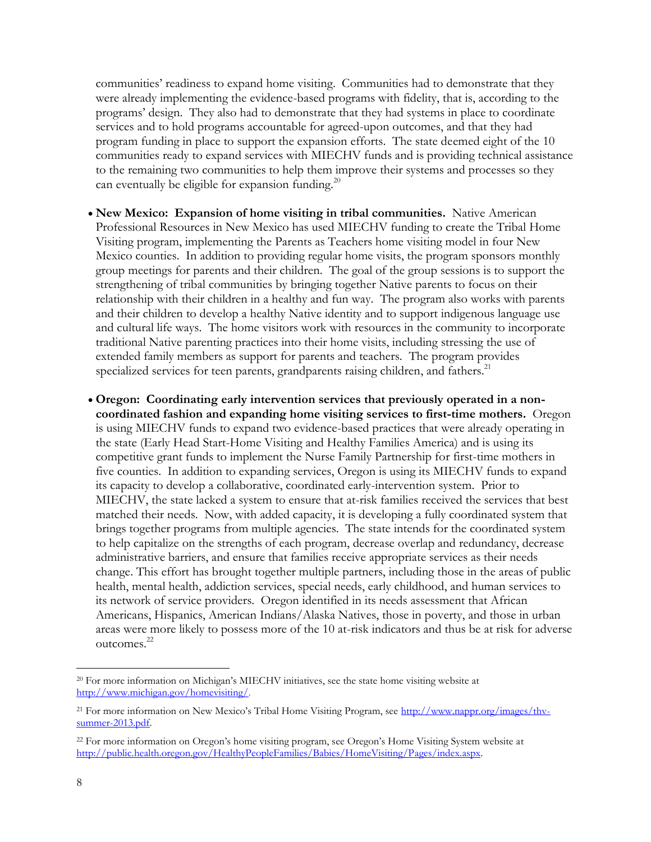communities' readiness to expand home visiting. Communities had to demonstrate that they were already implementing the evidence-based programs with fidelity, that is, according to the programs' design. They also had to demonstrate that they had systems in place to coordinate services and to hold programs accountable for agreed-upon outcomes, and that they had program funding in place to support the expansion efforts. The state deemed eight of the 10 communities ready to expand services with MIECHV funds and is providing technical assistance to the remaining two communities to help them improve their systems and processes so they can eventually be eligible for expansion funding. $^{20}$ 

- **New Mexico: Expansion of home visiting in tribal communities.** Native American Professional Resources in New Mexico has used MIECHV funding to create the Tribal Home Visiting program, implementing the Parents as Teachers home visiting model in four New Mexico counties. In addition to providing regular home visits, the program sponsors monthly group meetings for parents and their children. The goal of the group sessions is to support the strengthening of tribal communities by bringing together Native parents to focus on their relationship with their children in a healthy and fun way. The program also works with parents and their children to develop a healthy Native identity and to support indigenous language use and cultural life ways. The home visitors work with resources in the community to incorporate traditional Native parenting practices into their home visits, including stressing the use of extended family members as support for parents and teachers. The program provides specialized services for teen parents, grandparents raising children, and fathers.<sup>21</sup>
- **Oregon: Coordinating early intervention services that previously operated in a noncoordinated fashion and expanding home visiting services to first-time mothers.** Oregon is using MIECHV funds to expand two evidence-based practices that were already operating in the state (Early Head Start-Home Visiting and Healthy Families America) and is using its competitive grant funds to implement the Nurse Family Partnership for first-time mothers in five counties. In addition to expanding services, Oregon is using its MIECHV funds to expand its capacity to develop a collaborative, coordinated early-intervention system. Prior to MIECHV, the state lacked a system to ensure that at-risk families received the services that best matched their needs. Now, with added capacity, it is developing a fully coordinated system that brings together programs from multiple agencies. The state intends for the coordinated system to help capitalize on the strengths of each program, decrease overlap and redundancy, decrease administrative barriers, and ensure that families receive appropriate services as their needs change. This effort has brought together multiple partners, including those in the areas of public health, mental health, addiction services, special needs, early childhood, and human services to its network of service providers. Oregon identified in its needs assessment that African Americans, Hispanics, American Indians/Alaska Natives, those in poverty, and those in urban areas were more likely to possess more of the 10 at-risk indicators and thus be at risk for adverse outcomes.<sup>22</sup>

<sup>&</sup>lt;sup>20</sup> For more information on Michigan's MIECHV initiatives, see the state home visiting website at [http://www.michigan.gov/homevisiting/.](http://www.michigan.gov/homevisiting/) 

<sup>21</sup> For more information on New Mexico's Tribal Home Visiting Program, see [http://www.nappr.org/images/thv](http://www.nappr.org/images/thv-summer-2013.pdf)[summer-2013.pdf.](http://www.nappr.org/images/thv-summer-2013.pdf) 

<sup>22</sup> For more information on Oregon's home visiting program, see Oregon's Home Visiting System website at [http://public.health.oregon.gov/HealthyPeopleFamilies/Babies/HomeVisiting/Pages/index.aspx.](http://public.health.oregon.gov/HealthyPeopleFamilies/Babies/HomeVisiting/Pages/index.aspx)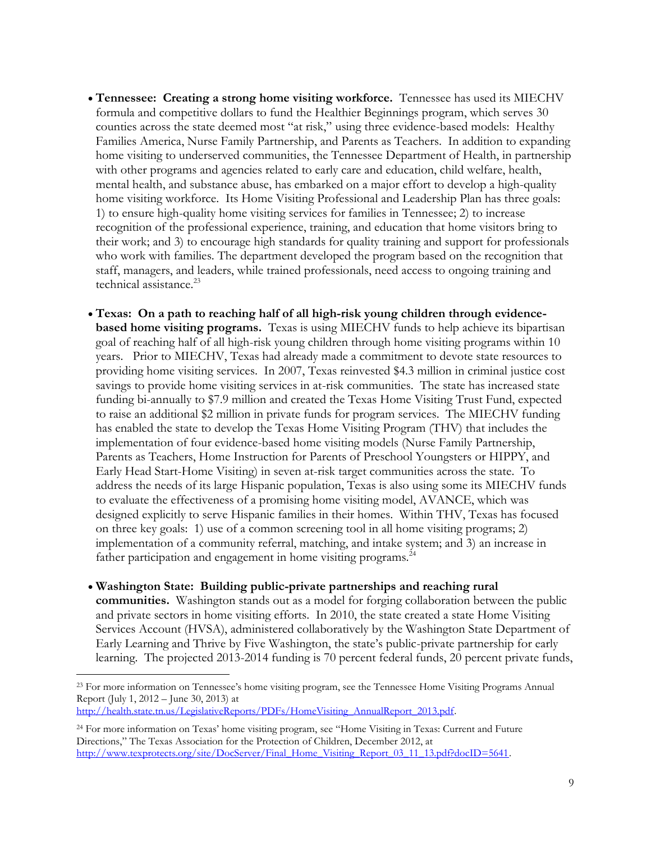- **Tennessee: Creating a strong home visiting workforce.** Tennessee has used its MIECHV formula and competitive dollars to fund the Healthier Beginnings program, which serves 30 counties across the state deemed most "at risk," using three evidence-based models: Healthy Families America, Nurse Family Partnership, and Parents as Teachers. In addition to expanding home visiting to underserved communities, the Tennessee Department of Health, in partnership with other programs and agencies related to early care and education, child welfare, health, mental health, and substance abuse, has embarked on a major effort to develop a high-quality home visiting workforce. Its Home Visiting Professional and Leadership Plan has three goals: 1) to ensure high-quality home visiting services for families in Tennessee; 2) to increase recognition of the professional experience, training, and education that home visitors bring to their work; and 3) to encourage high standards for quality training and support for professionals who work with families. The department developed the program based on the recognition that staff, managers, and leaders, while trained professionals, need access to ongoing training and technical assistance.<sup>23</sup>
- **Texas: On a path to reaching half of all high-risk young children through evidencebased home visiting programs.** Texas is using MIECHV funds to help achieve its bipartisan goal of reaching half of all high-risk young children through home visiting programs within 10 years. Prior to MIECHV, Texas had already made a commitment to devote state resources to providing home visiting services. In 2007, Texas reinvested \$4.3 million in criminal justice cost savings to provide home visiting services in at-risk communities. The state has increased state funding bi-annually to \$7.9 million and created the Texas Home Visiting Trust Fund, expected to raise an additional \$2 million in private funds for program services. The MIECHV funding has enabled the state to develop the Texas Home Visiting Program (THV) that includes the implementation of four evidence-based home visiting models (Nurse Family Partnership, Parents as Teachers, Home Instruction for Parents of Preschool Youngsters or HIPPY, and Early Head Start-Home Visiting) in seven at-risk target communities across the state. To address the needs of its large Hispanic population, Texas is also using some its MIECHV funds to evaluate the effectiveness of a promising home visiting model, AVANCE, which was designed explicitly to serve Hispanic families in their homes. Within THV, Texas has focused on three key goals: 1) use of a common screening tool in all home visiting programs; 2) implementation of a community referral, matching, and intake system; and 3) an increase in father participation and engagement in home visiting programs.<sup>24</sup>
- **Washington State: Building public-private partnerships and reaching rural communities.** Washington stands out as a model for forging collaboration between the public and private sectors in home visiting efforts. In 2010, the state created a state Home Visiting Services Account (HVSA), administered collaboratively by the Washington State Department of Early Learning and Thrive by Five Washington, the state's public-private partnership for early learning. The projected 2013-2014 funding is 70 percent federal funds, 20 percent private funds,

[http://health.state.tn.us/LegislativeReports/PDFs/HomeVisiting\\_AnnualReport\\_2013.pdf.](http://health.state.tn.us/LegislativeReports/PDFs/HomeVisiting_AnnualReport_2013.pdf)

<sup>&</sup>lt;sup>23</sup> For more information on Tennessee's home visiting program, see the Tennessee Home Visiting Programs Annual Report (July 1, 2012 – June 30, 2013) at

<sup>24</sup> For more information on Texas' home visiting program, see "Home Visiting in Texas: Current and Future Directions," The Texas Association for the Protection of Children, December 2012, at [http://www.texprotects.org/site/DocServer/Final\\_Home\\_Visiting\\_Report\\_03\\_11\\_13.pdf?docID=5641.](http://www.texprotects.org/site/DocServer/Final_Home_Visiting_Report_03_11_13.pdf?docID=5641)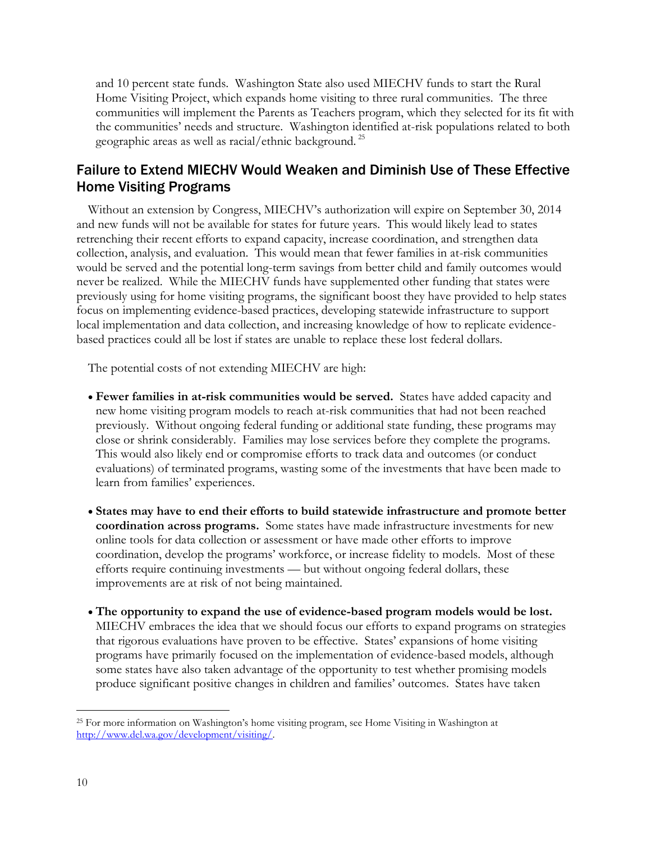and 10 percent state funds. Washington State also used MIECHV funds to start the Rural Home Visiting Project, which expands home visiting to three rural communities. The three communities will implement the Parents as Teachers program, which they selected for its fit with the communities' needs and structure. Washington identified at-risk populations related to both geographic areas as well as racial/ethnic background. <sup>25</sup>

## Failure to Extend MIECHV Would Weaken and Diminish Use of These Effective Home Visiting Programs

Without an extension by Congress, MIECHV's authorization will expire on September 30, 2014 and new funds will not be available for states for future years. This would likely lead to states retrenching their recent efforts to expand capacity, increase coordination, and strengthen data collection, analysis, and evaluation. This would mean that fewer families in at-risk communities would be served and the potential long-term savings from better child and family outcomes would never be realized. While the MIECHV funds have supplemented other funding that states were previously using for home visiting programs, the significant boost they have provided to help states focus on implementing evidence-based practices, developing statewide infrastructure to support local implementation and data collection, and increasing knowledge of how to replicate evidencebased practices could all be lost if states are unable to replace these lost federal dollars.

The potential costs of not extending MIECHV are high:

- **Fewer families in at-risk communities would be served.** States have added capacity and new home visiting program models to reach at-risk communities that had not been reached previously. Without ongoing federal funding or additional state funding, these programs may close or shrink considerably. Families may lose services before they complete the programs. This would also likely end or compromise efforts to track data and outcomes (or conduct evaluations) of terminated programs, wasting some of the investments that have been made to learn from families' experiences.
- **States may have to end their efforts to build statewide infrastructure and promote better coordination across programs.** Some states have made infrastructure investments for new online tools for data collection or assessment or have made other efforts to improve coordination, develop the programs' workforce, or increase fidelity to models. Most of these efforts require continuing investments — but without ongoing federal dollars, these improvements are at risk of not being maintained.
- **The opportunity to expand the use of evidence-based program models would be lost.**  MIECHV embraces the idea that we should focus our efforts to expand programs on strategies that rigorous evaluations have proven to be effective. States' expansions of home visiting programs have primarily focused on the implementation of evidence-based models, although some states have also taken advantage of the opportunity to test whether promising models produce significant positive changes in children and families' outcomes. States have taken

<sup>25</sup> For more information on Washington's home visiting program, see Home Visiting in Washington at [http://www.del.wa.gov/development/visiting/.](http://www.del.wa.gov/development/visiting/)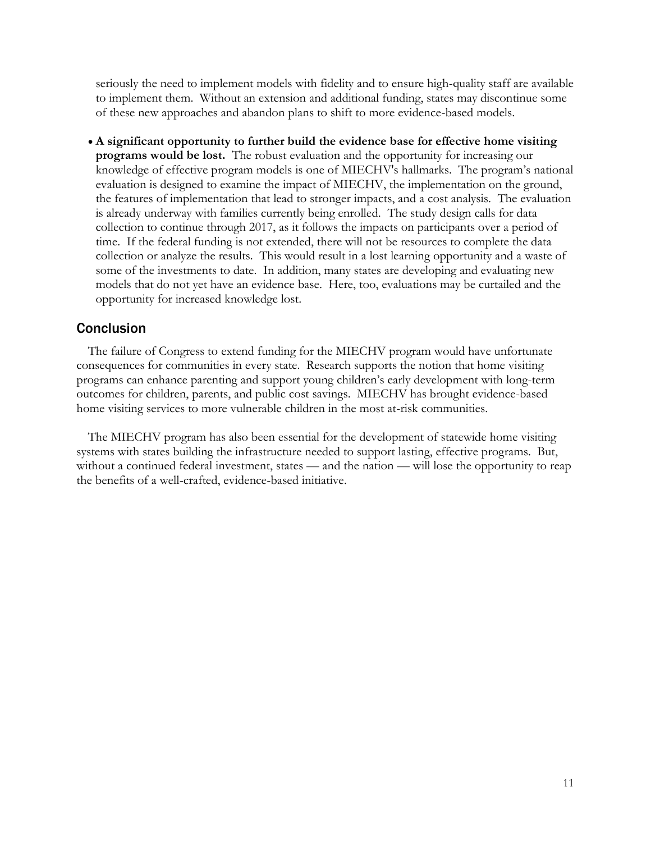seriously the need to implement models with fidelity and to ensure high-quality staff are available to implement them. Without an extension and additional funding, states may discontinue some of these new approaches and abandon plans to shift to more evidence-based models.

 **A significant opportunity to further build the evidence base for effective home visiting programs would be lost.** The robust evaluation and the opportunity for increasing our knowledge of effective program models is one of MIECHV's hallmarks. The program's national evaluation is designed to examine the impact of MIECHV, the implementation on the ground, the features of implementation that lead to stronger impacts, and a cost analysis. The evaluation is already underway with families currently being enrolled. The study design calls for data collection to continue through 2017, as it follows the impacts on participants over a period of time. If the federal funding is not extended, there will not be resources to complete the data collection or analyze the results. This would result in a lost learning opportunity and a waste of some of the investments to date. In addition, many states are developing and evaluating new models that do not yet have an evidence base. Here, too, evaluations may be curtailed and the opportunity for increased knowledge lost.

#### **Conclusion**

The failure of Congress to extend funding for the MIECHV program would have unfortunate consequences for communities in every state. Research supports the notion that home visiting programs can enhance parenting and support young children's early development with long-term outcomes for children, parents, and public cost savings. MIECHV has brought evidence-based home visiting services to more vulnerable children in the most at-risk communities.

The MIECHV program has also been essential for the development of statewide home visiting systems with states building the infrastructure needed to support lasting, effective programs. But, without a continued federal investment, states — and the nation — will lose the opportunity to reap the benefits of a well-crafted, evidence-based initiative.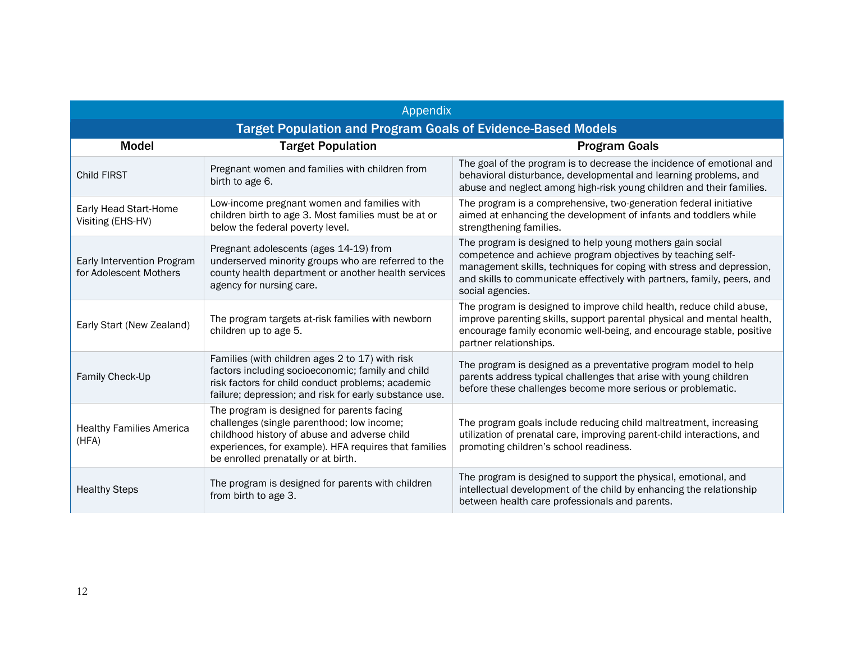| Appendix                                                            |                                                                                                                                                                                                                                          |                                                                                                                                                                                                                                                                                                 |
|---------------------------------------------------------------------|------------------------------------------------------------------------------------------------------------------------------------------------------------------------------------------------------------------------------------------|-------------------------------------------------------------------------------------------------------------------------------------------------------------------------------------------------------------------------------------------------------------------------------------------------|
| <b>Target Population and Program Goals of Evidence-Based Models</b> |                                                                                                                                                                                                                                          |                                                                                                                                                                                                                                                                                                 |
| <b>Model</b>                                                        | <b>Target Population</b>                                                                                                                                                                                                                 | <b>Program Goals</b>                                                                                                                                                                                                                                                                            |
| <b>Child FIRST</b>                                                  | Pregnant women and families with children from<br>birth to age 6.                                                                                                                                                                        | The goal of the program is to decrease the incidence of emotional and<br>behavioral disturbance, developmental and learning problems, and<br>abuse and neglect among high-risk young children and their families.                                                                               |
| Early Head Start-Home<br>Visiting (EHS-HV)                          | Low-income pregnant women and families with<br>children birth to age 3. Most families must be at or<br>below the federal poverty level.                                                                                                  | The program is a comprehensive, two-generation federal initiative<br>aimed at enhancing the development of infants and toddlers while<br>strengthening families.                                                                                                                                |
| Early Intervention Program<br>for Adolescent Mothers                | Pregnant adolescents (ages 14-19) from<br>underserved minority groups who are referred to the<br>county health department or another health services<br>agency for nursing care.                                                         | The program is designed to help young mothers gain social<br>competence and achieve program objectives by teaching self-<br>management skills, techniques for coping with stress and depression,<br>and skills to communicate effectively with partners, family, peers, and<br>social agencies. |
| Early Start (New Zealand)                                           | The program targets at-risk families with newborn<br>children up to age 5.                                                                                                                                                               | The program is designed to improve child health, reduce child abuse,<br>improve parenting skills, support parental physical and mental health,<br>encourage family economic well-being, and encourage stable, positive<br>partner relationships.                                                |
| Family Check-Up                                                     | Families (with children ages 2 to 17) with risk<br>factors including socioeconomic; family and child<br>risk factors for child conduct problems; academic<br>failure; depression; and risk for early substance use.                      | The program is designed as a preventative program model to help<br>parents address typical challenges that arise with young children<br>before these challenges become more serious or problematic.                                                                                             |
| <b>Healthy Families America</b><br>(HFA)                            | The program is designed for parents facing<br>challenges (single parenthood; low income;<br>childhood history of abuse and adverse child<br>experiences, for example). HFA requires that families<br>be enrolled prenatally or at birth. | The program goals include reducing child maltreatment, increasing<br>utilization of prenatal care, improving parent-child interactions, and<br>promoting children's school readiness.                                                                                                           |
| <b>Healthy Steps</b>                                                | The program is designed for parents with children<br>from birth to age 3.                                                                                                                                                                | The program is designed to support the physical, emotional, and<br>intellectual development of the child by enhancing the relationship<br>between health care professionals and parents.                                                                                                        |